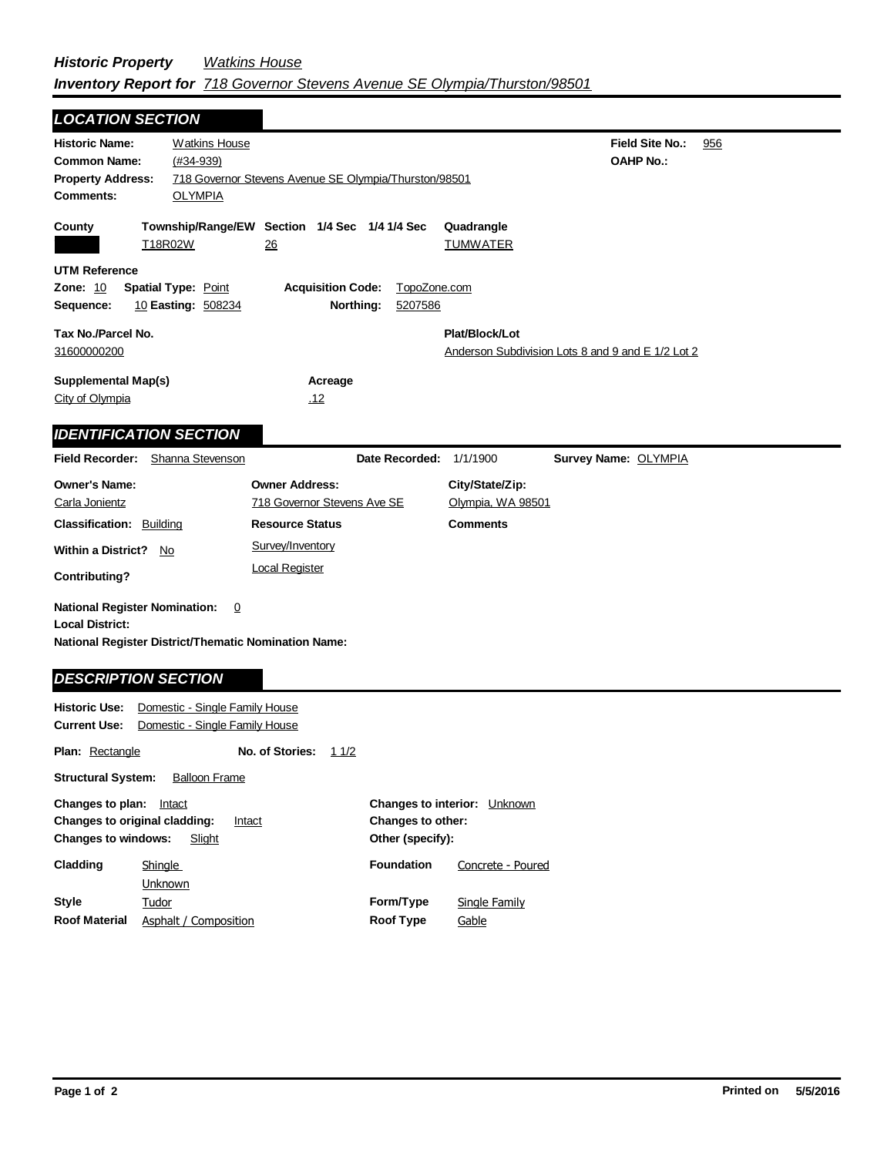## *Historic Property Watkins House Inventory Report for 718 Governor Stevens Avenue SE Olympia/Thurston/98501*

| <b>LOCATION SECTION</b>                                                                                                                              |                                                                                |                                                                     |
|------------------------------------------------------------------------------------------------------------------------------------------------------|--------------------------------------------------------------------------------|---------------------------------------------------------------------|
| <b>Historic Name:</b><br><b>Common Name:</b><br>$(#34-939)$<br><b>Property Address:</b>                                                              | <b>Watkins House</b><br>718 Governor Stevens Avenue SE Olympia/Thurston/98501  | <b>Field Site No.:</b><br>956<br><b>OAHP No.:</b>                   |
| <b>Comments:</b><br><b>OLYMPIA</b>                                                                                                                   |                                                                                |                                                                     |
| County<br>T18R02W                                                                                                                                    | Township/Range/EW Section 1/4 Sec 1/4 1/4 Sec<br>26                            | Quadrangle<br><b>TUMWATER</b>                                       |
| <b>UTM Reference</b><br><b>Zone: 10</b><br><b>Spatial Type: Point</b><br>10 Easting: 508234<br>Sequence:                                             | <b>Acquisition Code:</b><br>Northing:<br>5207586                               | TopoZone.com                                                        |
| Tax No./Parcel No.<br>31600000200                                                                                                                    |                                                                                | Plat/Block/Lot<br>Anderson Subdivision Lots 8 and 9 and E 1/2 Lot 2 |
| <b>Supplemental Map(s)</b><br>City of Olympia                                                                                                        | Acreage<br>.12                                                                 |                                                                     |
| <b>IDENTIFICATION SECTION</b>                                                                                                                        |                                                                                |                                                                     |
| <b>Field Recorder:</b><br>Shanna Stevenson                                                                                                           | Date Recorded:                                                                 | 1/1/1900<br>Survey Name: OLYMPIA                                    |
| <b>Owner's Name:</b><br>Carla Jonientz<br><b>Classification: Building</b>                                                                            | <b>Owner Address:</b><br>718 Governor Stevens Ave SE<br><b>Resource Status</b> | City/State/Zip:<br>Olympia, WA 98501<br><b>Comments</b>             |
| <b>Within a District?</b><br>No<br><b>Contributing?</b>                                                                                              | Survey/Inventory<br><b>Local Register</b>                                      |                                                                     |
| <b>National Register Nomination:</b><br><b>Local District:</b><br>National Register District/Thematic Nomination Name:<br><b>DESCRIPTION SECTION</b> | $\overline{0}$                                                                 |                                                                     |
| <b>Historic Use:</b><br><b>Current Use:</b>                                                                                                          | Domestic - Single Family House<br>Domestic - Single Family House               |                                                                     |

Concrete - Poured

**Plan:** Rectangle **Other (specify): Structural System:** Balloon Frame **No. of Stories:** 11/2 Changes to plan: **Intact Changes to original cladding: Intact Changes to windows:** Slight **Changes to interior:** Unknown **Changes to other: Cladding Foundation Shingle** 

|                      | <b>Unknown</b>        |                  |               |
|----------------------|-----------------------|------------------|---------------|
| <b>Style</b>         | Tudor                 | Form/Type        | Single Family |
| <b>Roof Material</b> | Asphalt / Composition | <b>Roof Type</b> | Gable         |